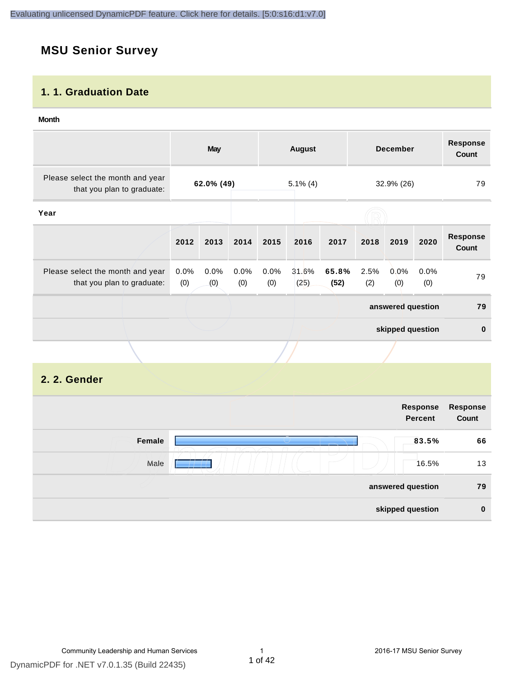# **MSU Senior Survey**

#### **1. 1. Graduation Date**

#### **Month**

|                                                                |                | May                                     |             |             | <b>August</b> |               |                  | <b>December</b>   |             | <b>Response</b><br><b>Count</b> |
|----------------------------------------------------------------|----------------|-----------------------------------------|-------------|-------------|---------------|---------------|------------------|-------------------|-------------|---------------------------------|
| Please select the month and year<br>that you plan to graduate: |                | 62.0% (49)<br>$5.1\%$ (4)<br>32.9% (26) |             |             | 79            |               |                  |                   |             |                                 |
| Year                                                           |                |                                         |             |             |               |               |                  |                   |             |                                 |
|                                                                | 2012           | 2013                                    | 2014        | 2015        | 2016          | 2017          | 2018             | 2019              | 2020        | <b>Response</b><br>Count        |
| Please select the month and year<br>that you plan to graduate: | $0.0\%$<br>(0) | 0.0%<br>(0)                             | 0.0%<br>(0) | 0.0%<br>(0) | 31.6%<br>(25) | 65.8%<br>(52) | 2.5%<br>(2)      | $0.0\%$<br>(0)    | 0.0%<br>(0) | 79                              |
|                                                                |                |                                         |             |             |               |               |                  | answered question |             | 79                              |
|                                                                |                |                                         |             |             |               |               | skipped question |                   | $\bf{0}$    |                                 |
|                                                                |                |                                         |             |             |               |               |                  |                   |             |                                 |

#### **2. 2. Gender**

|        | Response<br><b>Percent</b> | Response<br>Count |
|--------|----------------------------|-------------------|
| Female | 83.5%                      | 66                |
| Male   | 16.5%                      | 13                |
|        | answered question          | 79                |
|        | skipped question           | $\mathbf 0$       |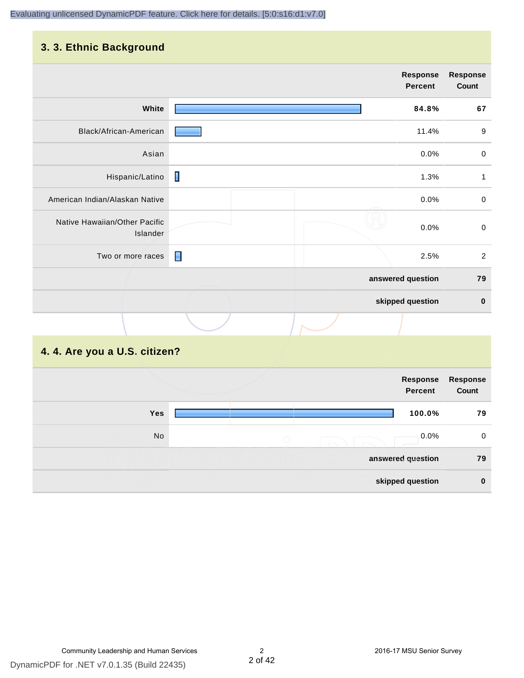#### **3. 3. Ethnic Background**

| the company's company's company's<br>. <b>.</b> |                |                            |                          |
|-------------------------------------------------|----------------|----------------------------|--------------------------|
|                                                 |                | <b>Response</b><br>Percent | <b>Response</b><br>Count |
| White                                           |                | 84.8%                      | 67                       |
| Black/African-American                          |                | 11.4%                      | $\boldsymbol{9}$         |
| Asian                                           |                | 0.0%                       | $\pmb{0}$                |
| Hispanic/Latino                                 | I              | 1.3%                       | $\mathbf{1}$             |
| American Indian/Alaskan Native                  |                | 0.0%                       | $\pmb{0}$                |
| Native Hawaiian/Other Pacific<br>Islander       |                | 0.0%                       | $\mbox{O}$               |
| Two or more races                               | $\blacksquare$ | 2.5%                       | $\overline{2}$           |
|                                                 |                | answered question          | 79                       |
|                                                 |                | skipped question           | $\pmb{0}$                |
|                                                 |                |                            |                          |

# **4. 4. Are you a U.S. citizen?**

|     |            | Response<br>Percent | Response<br>Count |
|-----|------------|---------------------|-------------------|
| Yes |            |                     | 100.0%<br>79      |
| No  | $\bigcirc$ |                     | $0.0\%$<br>0      |
|     |            | answered question   | 79                |
|     |            | skipped question    | $\bf{0}$          |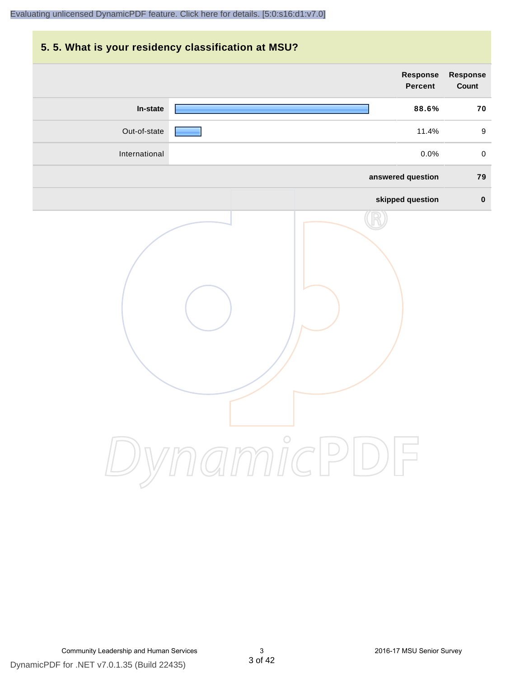# **5. 5. What is your residency classification at MSU? answered question 79 skipped question 0 Response Percent Response Count In-state 88.6% 70** Out-of-state 11.4% 9 International 0.0% 0

DynamicPDF for .NET v7.0.1.35 (Build 22435)

DynamicPDF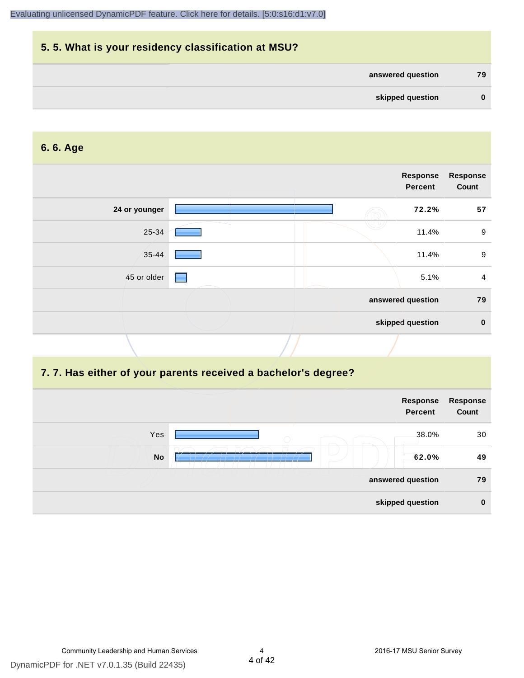| 5.5. What is your residency classification at MSU? |          |
|----------------------------------------------------|----------|
| answered question                                  | 79       |
| skipped question                                   | $\bf{0}$ |

#### **6. 6. Age**

|               |  | Response<br>Percent | <b>Response</b><br>Count |
|---------------|--|---------------------|--------------------------|
| 24 or younger |  | 72.2%               | 57                       |
| 25-34         |  | 11.4%               | $9\,$                    |
| 35-44         |  | 11.4%               | 9                        |
| 45 or older   |  | 5.1%                | 4                        |
|               |  | answered question   | 79                       |
|               |  | skipped question    | $\mathbf 0$              |

#### **7. 7. Has either of your parents received a bachelor's degree?**

|                   | Response<br><b>Percent</b> | Response<br>Count |
|-------------------|----------------------------|-------------------|
| Yes<br>$\bigcirc$ | 38.0%                      | 30                |
| <b>No</b>         | 62.0%                      | 49                |
|                   | answered question          | 79                |
|                   | skipped question           | $\bf{0}$          |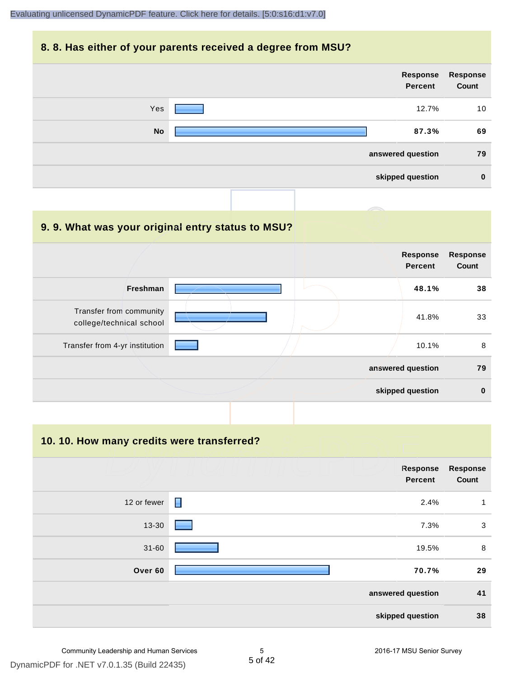#### **8. 8. Has either of your parents received a degree from MSU?**

| Response<br>Count | Response<br>Percent |           |  |
|-------------------|---------------------|-----------|--|
| 10                | 12.7%               | Yes       |  |
| 69                | 87.3%               | <b>No</b> |  |
| 79                | answered question   |           |  |
| $\bf{0}$          | skipped question    |           |  |
|                   |                     |           |  |

# **9. 9. What was your original entry status to MSU?**

|                                                     | <b>Response</b><br><b>Percent</b> | <b>Response</b><br>Count |
|-----------------------------------------------------|-----------------------------------|--------------------------|
| Freshman                                            | 48.1%                             | 38                       |
| Transfer from community<br>college/technical school | 41.8%                             | 33                       |
| Transfer from 4-yr institution                      | 10.1%                             | 8                        |
|                                                     | answered question                 | 79                       |
|                                                     | skipped question                  | $\bf{0}$                 |

#### **10. 10. How many credits were transferred?**

|             | Response<br><b>Percent</b> | <b>Response</b><br>Count |
|-------------|----------------------------|--------------------------|
| 12 or fewer | $\blacksquare$<br>2.4%     | 1                        |
| 13-30       | 7.3%                       | 3                        |
| $31 - 60$   | 19.5%                      | 8                        |
| Over 60     | 70.7%                      | 29                       |
|             | answered question          | 41                       |
|             | skipped question           | 38                       |

DynamicPDF for .NET v7.0.1.35 (Build 22435)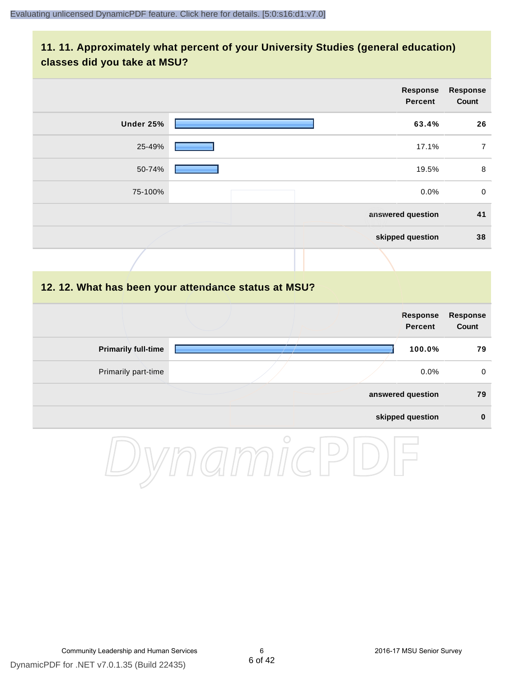#### **11. 11. Approximately what percent of your University Studies (general education) classes did you take at MSU?**

| <b>Response</b><br><b>Percent</b>                    | <b>Response</b><br>Count |
|------------------------------------------------------|--------------------------|
| Under 25%<br>63.4%                                   | 26                       |
| 25-49%<br>17.1%                                      | $\overline{7}$           |
| 50-74%<br>19.5%                                      | 8                        |
| 0.0%<br>75-100%                                      | $\mathbf 0$              |
| answered question                                    | 41                       |
| skipped question                                     | 38                       |
|                                                      |                          |
| 12. 12. What has been your attendance status at MSU? |                          |
| <b>Response</b><br><b>Percent</b>                    | Response<br>Count        |
| <b>Primarily full-time</b><br>100.0%                 | 79                       |
| Primarily part-time<br>0.0%                          | $\mathbf 0$              |
| answered question                                    | 79                       |

**skipped question 0**

DynamicPDF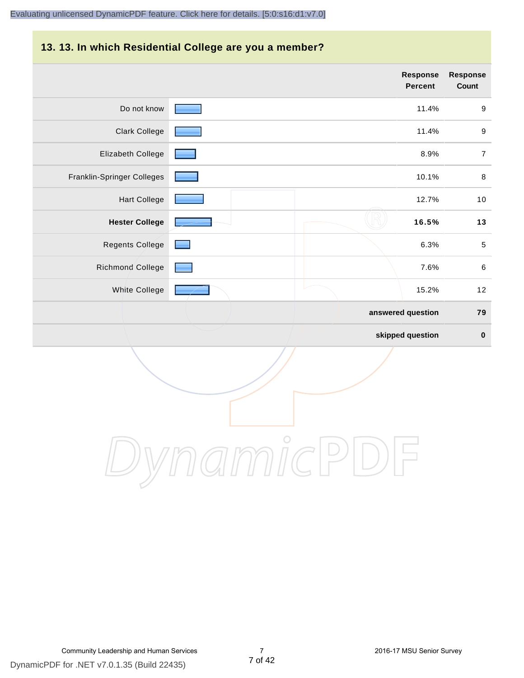# **13. 13. In which Residential College are you a member?**

|                            | <b>Response</b><br>Percent | <b>Response</b><br>Count |
|----------------------------|----------------------------|--------------------------|
| Do not know                | 11.4%                      | $\boldsymbol{9}$         |
| <b>Clark College</b>       | 11.4%                      | $\boldsymbol{9}$         |
| Elizabeth College          | 8.9%                       | $\boldsymbol{7}$         |
| Franklin-Springer Colleges | 10.1%                      | $\,8\,$                  |
| <b>Hart College</b>        | 12.7%                      | $10$                     |
| <b>Hester College</b>      | 16.5%                      | 13                       |
| <b>Regents College</b>     | 6.3%                       | $\sqrt{5}$               |
| Richmond College           | 7.6%                       | $\,6\,$                  |
| White College              | 15.2%                      | 12                       |
|                            | answered question          | 79                       |
|                            | skipped question           | $\pmb{0}$                |

DynamicPDF

DynamicPDF for .NET v7.0.1.35 (Build 22435)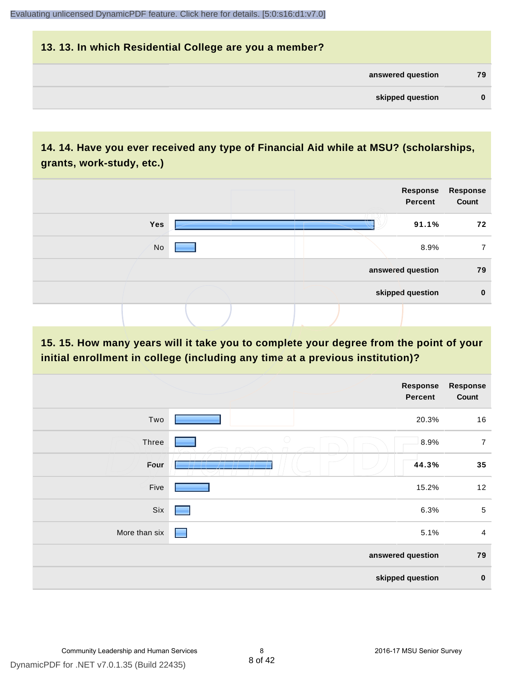# **13. 13. In which Residential College are you a member? answered question 79 skipped question 0**

# **14. 14. Have you ever received any type of Financial Aid while at MSU? (scholarships, grants, work-study, etc.)**

|     |  | Response<br>Percent | Response<br>Count |
|-----|--|---------------------|-------------------|
| Yes |  | 91.1%               | 72                |
| No  |  | 8.9%                |                   |
|     |  | answered question   | 79                |
|     |  | skipped question    | $\bf{0}$          |
|     |  |                     |                   |

#### **15. 15. How many years will it take you to complete your degree from the point of your initial enrollment in college (including any time at a previous institution)?**

|               |                                   | <b>Response</b><br>Percent | <b>Response</b><br>Count |
|---------------|-----------------------------------|----------------------------|--------------------------|
| Two           |                                   | 20.3%                      | 16                       |
| Three         | $\bigcirc$                        | 8.9%                       | $\overline{7}$           |
| Four          | __                                | 44.3%                      | 35                       |
| Five          |                                   | 15.2%                      | 12                       |
| Six           | ۰                                 | 6.3%                       | $\sqrt{5}$               |
| More than six | <b>Contract Contract Contract</b> | 5.1%                       | $\overline{4}$           |
|               |                                   | answered question          | 79                       |
|               |                                   | skipped question           | $\bf{0}$                 |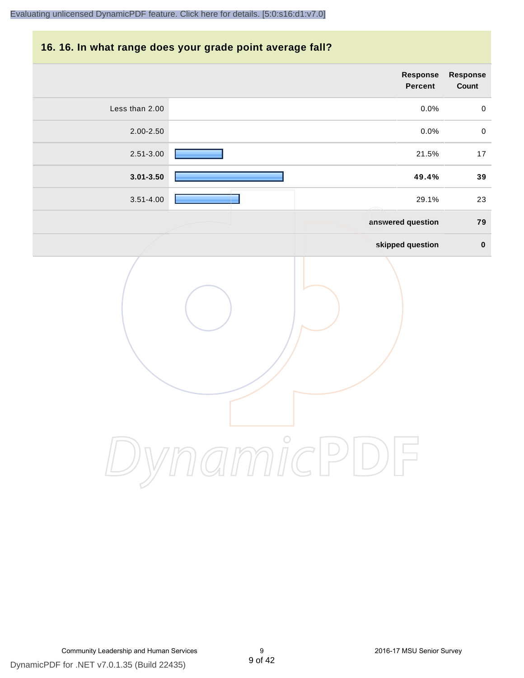#### **16. 16. In what range does your grade point average fall?**

|                | Response<br>Percent | Response<br>Count |
|----------------|---------------------|-------------------|
| Less than 2.00 | $0.0\%$             | $\mathbf 0$       |
| 2.00-2.50      | 0.0%                | $\pmb{0}$         |
| 2.51-3.00      | 21.5%               | $17$              |
| $3.01 - 3.50$  | 49.4%               | 39                |
| $3.51 - 4.00$  | 29.1%               | 23                |
|                | answered question   | ${\bf 79}$        |
|                | skipped question    | $\pmb{0}$         |
| $\bigcirc$     |                     |                   |

DynamicPDF for .NET v7.0.1.35 (Build 22435)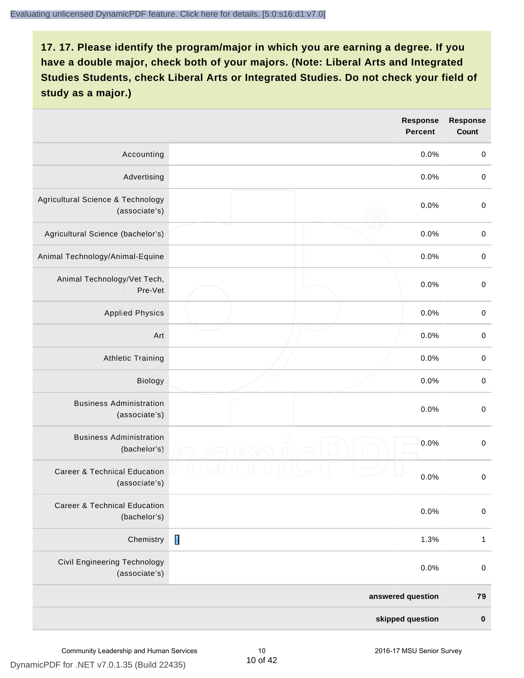|                                                          |            | <b>Response</b><br><b>Percent</b> | <b>Response</b><br><b>Count</b> |
|----------------------------------------------------------|------------|-----------------------------------|---------------------------------|
| Accounting                                               |            | 0.0%                              | $\pmb{0}$                       |
| Advertising                                              |            | 0.0%                              | $\boldsymbol{0}$                |
| Agricultural Science & Technology<br>(associate's)       |            | 0.0%                              | $\pmb{0}$                       |
| Agricultural Science (bachelor's)                        |            | 0.0%                              | $\mathbf 0$                     |
| Animal Technology/Animal-Equine                          |            | 0.0%                              | $\mathbf 0$                     |
| Animal Technology/Vet Tech,<br>Pre-Vet                   |            | 0.0%                              | $\mathbf 0$                     |
| <b>Applied Physics</b>                                   |            | 0.0%                              | $\mathbf 0$                     |
| Art                                                      |            | 0.0%                              | $\mathbf 0$                     |
| <b>Athletic Training</b>                                 |            | 0.0%                              | $\pmb{0}$                       |
| Biology                                                  |            | 0.0%                              | $\boldsymbol{0}$                |
| <b>Business Administration</b><br>(associate's)          |            | 0.0%                              | $\pmb{0}$                       |
| <b>Business Administration</b><br>(bachelor's)           | $\bigcirc$ | 0.0%                              | $\boldsymbol{0}$                |
| <b>Career &amp; Technical Education</b><br>(associate's) |            | 0.0%                              | $\mathbf 0$                     |
| <b>Career &amp; Technical Education</b><br>(bachelor's)  |            | 0.0%                              | $\pmb{0}$                       |
| Chemistry                                                | П          | 1.3%                              | $\mathbf{1}$                    |
| Civil Engineering Technology<br>(associate's)            |            | 0.0%                              | $\pmb{0}$                       |
|                                                          |            | answered question                 | 79                              |
|                                                          |            | skipped question                  | $\pmb{0}$                       |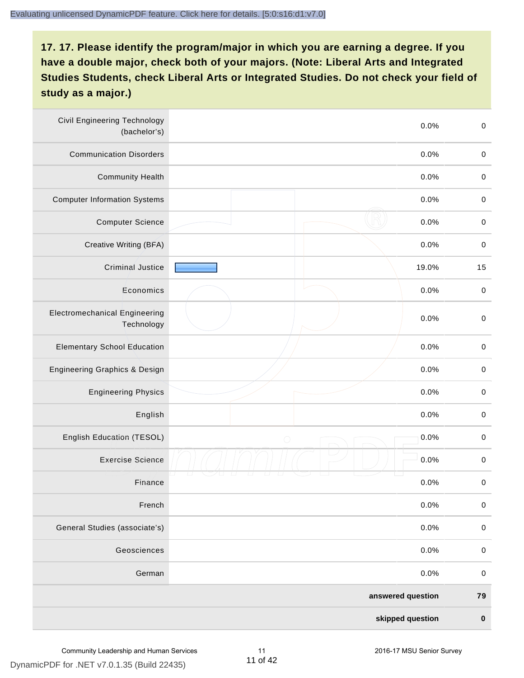| <b>Civil Engineering Technology</b><br>(bachelor's) |            | 0.0%              | $\mbox{O}$  |
|-----------------------------------------------------|------------|-------------------|-------------|
| <b>Communication Disorders</b>                      |            | 0.0%              | $\mathbf 0$ |
| <b>Community Health</b>                             |            | 0.0%              | $\pmb{0}$   |
| <b>Computer Information Systems</b>                 |            | 0.0%              | $\,0\,$     |
| <b>Computer Science</b>                             |            | 0.0%              | $\mathbf 0$ |
| Creative Writing (BFA)                              |            | 0.0%              | $\mathbf 0$ |
| <b>Criminal Justice</b>                             |            | 19.0%             | 15          |
| Economics                                           |            | 0.0%              | $\pmb{0}$   |
| <b>Electromechanical Engineering</b><br>Technology  |            | 0.0%              | $\pmb{0}$   |
| <b>Elementary School Education</b>                  |            | 0.0%              | $\mathbf 0$ |
| <b>Engineering Graphics &amp; Design</b>            |            | 0.0%              | $\pmb{0}$   |
| <b>Engineering Physics</b>                          |            | 0.0%              | $\pmb{0}$   |
| English                                             |            | 0.0%              | $\pmb{0}$   |
| English Education (TESOL)                           | $\bigcirc$ | 0.0%              | $\mathbf 0$ |
| <b>Exercise Science</b>                             |            | 0.0%              | $\pmb{0}$   |
| Finance                                             |            | 0.0%              | $\,0\,$     |
| French                                              |            | 0.0%              | $\pmb{0}$   |
| General Studies (associate's)                       |            | 0.0%              | $\mathbf 0$ |
| Geosciences                                         |            | 0.0%              | $\mathbf 0$ |
| German                                              |            | 0.0%              | $\mathbf 0$ |
|                                                     |            | answered question | 79          |
|                                                     |            | skipped question  | $\pmb{0}$   |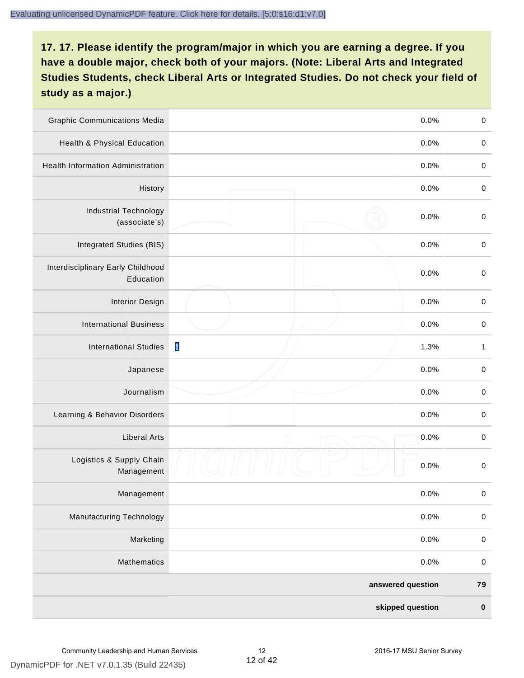| <b>Graphic Communications Media</b>            |                | 0.0%              | $\mathbf 0$  |
|------------------------------------------------|----------------|-------------------|--------------|
| Health & Physical Education                    |                | 0.0%              | $\mathbf 0$  |
| <b>Health Information Administration</b>       |                | 0.0%              | $\pmb{0}$    |
| History                                        |                | 0.0%              | $\pmb{0}$    |
| <b>Industrial Technology</b><br>(associate's)  |                | 0.0%              | $\mathbf 0$  |
| Integrated Studies (BIS)                       |                | 0.0%              | $\mathbf 0$  |
| Interdisciplinary Early Childhood<br>Education |                | 0.0%              | $\mathbf 0$  |
| <b>Interior Design</b>                         |                | 0.0%              | $\pmb{0}$    |
| <b>International Business</b>                  |                | 0.0%              | $\mathbf 0$  |
| <b>International Studies</b>                   | $\blacksquare$ | 1.3%              | $\mathbf{1}$ |
| Japanese                                       |                | 0.0%              | $\mathbf 0$  |
| Journalism                                     |                | 0.0%              | $\pmb{0}$    |
| Learning & Behavior Disorders                  |                | 0.0%              | $\pmb{0}$    |
| <b>Liberal Arts</b>                            | $\bigcirc$     | 0.0%              | $\pmb{0}$    |
| Logistics & Supply Chain<br>Management         |                | 0.0%              | $\pmb{0}$    |
| Management                                     |                | 0.0%              | $\pmb{0}$    |
| <b>Manufacturing Technology</b>                |                | 0.0%              | $\mathbf 0$  |
| Marketing                                      |                | 0.0%              | $\mathbf 0$  |
| Mathematics                                    |                | 0.0%              | $\,0\,$      |
|                                                |                | answered question | 79           |
|                                                |                | skipped question  | $\pmb{0}$    |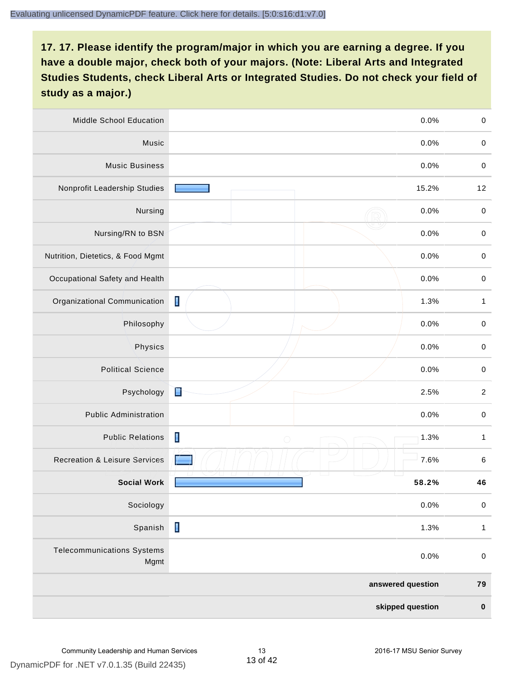| Middle School Education                   | 0.0%                                 | $\,0\,$      |
|-------------------------------------------|--------------------------------------|--------------|
| Music                                     | 0.0%                                 | $\,0\,$      |
| <b>Music Business</b>                     | 0.0%                                 | $\mathbf 0$  |
| Nonprofit Leadership Studies              | 15.2%                                | 12           |
| Nursing                                   | 0.0%                                 | $\pmb{0}$    |
| Nursing/RN to BSN                         | 0.0%                                 | $\pmb{0}$    |
| Nutrition, Dietetics, & Food Mgmt         | 0.0%                                 | $\pmb{0}$    |
| Occupational Safety and Health            | 0.0%                                 | $\pmb{0}$    |
| Organizational Communication              | $\blacksquare$<br>1.3%               | $\mathbf{1}$ |
| Philosophy                                | 0.0%                                 | $\mathbf 0$  |
| Physics                                   | 0.0%                                 | $\pmb{0}$    |
| <b>Political Science</b>                  | 0.0%                                 | $\mathbf 0$  |
| Psychology                                | È<br>2.5%                            | $\sqrt{2}$   |
| <b>Public Administration</b>              | 0.0%                                 | $\mathbf 0$  |
| <b>Public Relations</b>                   | $\blacksquare$<br>1.3%<br>$\bigcirc$ | 1            |
| <b>Recreation &amp; Leisure Services</b>  | 7.6%                                 | $\,6\,$      |
| <b>Social Work</b>                        | 58.2%                                | 46           |
| Sociology                                 | 0.0%                                 | $\pmb{0}$    |
| Spanish                                   | $\blacksquare$<br>1.3%               | $\mathbf{1}$ |
| <b>Telecommunications Systems</b><br>Mgmt | 0.0%                                 | $\mathbf 0$  |
|                                           | answered question                    | 79           |
|                                           | skipped question                     | $\pmb{0}$    |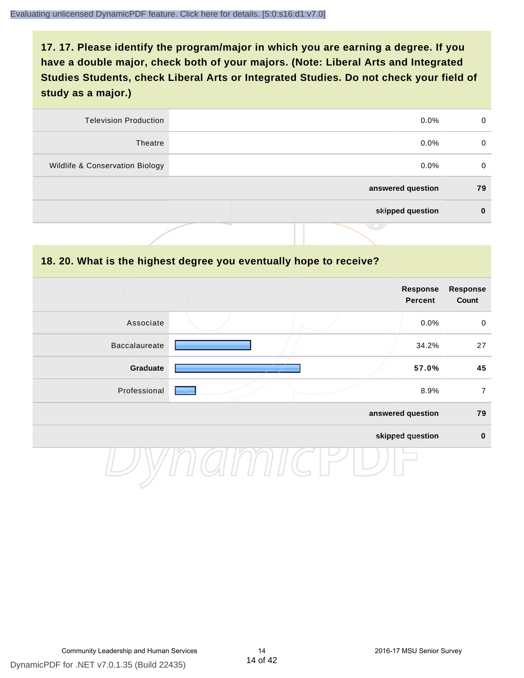| <b>Television Production</b>    | $0.0\%$           | 0  |
|---------------------------------|-------------------|----|
| Theatre                         | $0.0\%$           | 0  |
| Wildlife & Conservation Biology | $0.0\%$           | 0  |
|                                 | answered question | 79 |
|                                 | skipped question  | 0  |
|                                 | J 4               |    |

#### **18. 20. What is the highest degree you eventually hope to receive?**

|               |  | Response<br>Percent | <b>Response</b><br>Count |
|---------------|--|---------------------|--------------------------|
| Associate     |  | 0.0%                | $\mathbf 0$              |
| Baccalaureate |  | 34.2%               | 27                       |
| Graduate      |  | 57.0%               | 45                       |
| Professional  |  | 8.9%                | $\overline{7}$           |
|               |  | answered question   | 79                       |
|               |  | skipped question    | $\pmb{0}$                |
|               |  |                     |                          |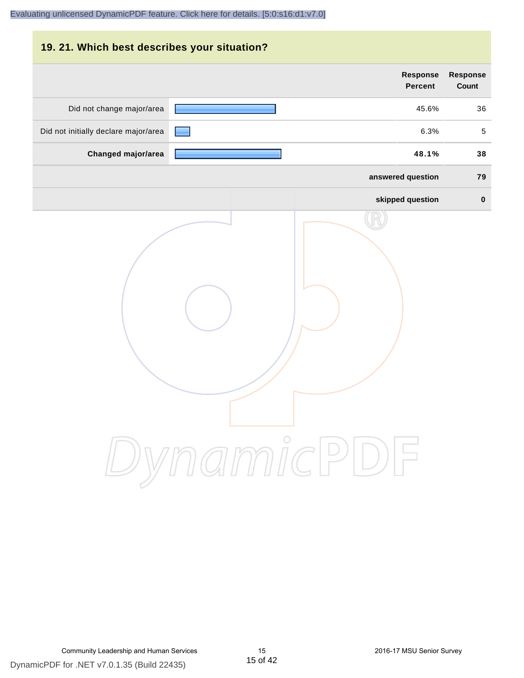| 19. 21. Which best describes your situation? |                                   |                                 |
|----------------------------------------------|-----------------------------------|---------------------------------|
|                                              | <b>Response</b><br><b>Percent</b> | <b>Response</b><br><b>Count</b> |
| Did not change major/area                    | 45.6%                             | 36                              |
| Did not initially declare major/area         | 6.3%                              | 5                               |
| Changed major/area                           | 48.1%                             | 38                              |
|                                              | answered question                 | 79                              |
|                                              | skipped question                  | $\bf{0}$                        |
|                                              | DynamicPDF                        |                                 |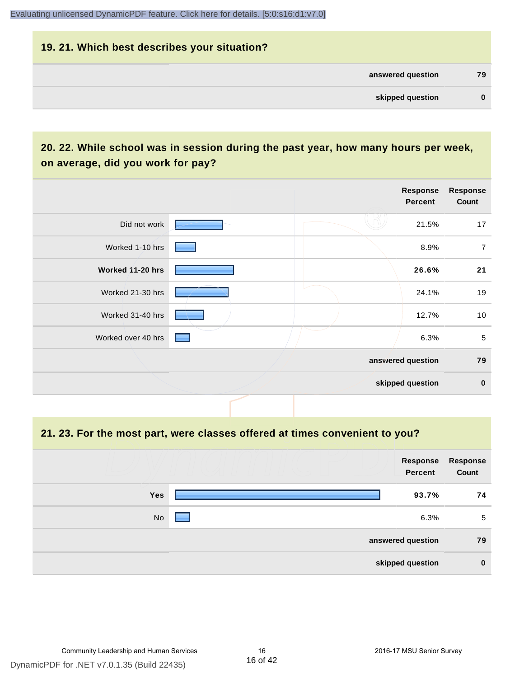# **19. 21. Which best describes your situation? answered question 79 skipped question 0**

# **20. 22. While school was in session during the past year, how many hours per week, on average, did you work for pay?**

|                    |  | Response<br>Percent | <b>Response</b><br>Count |
|--------------------|--|---------------------|--------------------------|
| Did not work       |  | 21.5%               | 17                       |
| Worked 1-10 hrs    |  | 8.9%                | $\overline{7}$           |
| Worked 11-20 hrs   |  | 26.6%               | 21                       |
| Worked 21-30 hrs   |  | 24.1%               | 19                       |
| Worked 31-40 hrs   |  | 12.7%               | 10                       |
| Worked over 40 hrs |  | 6.3%                | 5                        |
|                    |  | answered question   | 79                       |
|                    |  | skipped question    | $\mathbf 0$              |

#### **21. 23. For the most part, were classes offered at times convenient to you?**

|            | Response<br>Percent | Response<br>Count |
|------------|---------------------|-------------------|
| <b>Yes</b> | 93.7%               | 74                |
| No         | 6.3%                | 5                 |
|            | answered question   | 79                |
|            | skipped question    | $\bf{0}$          |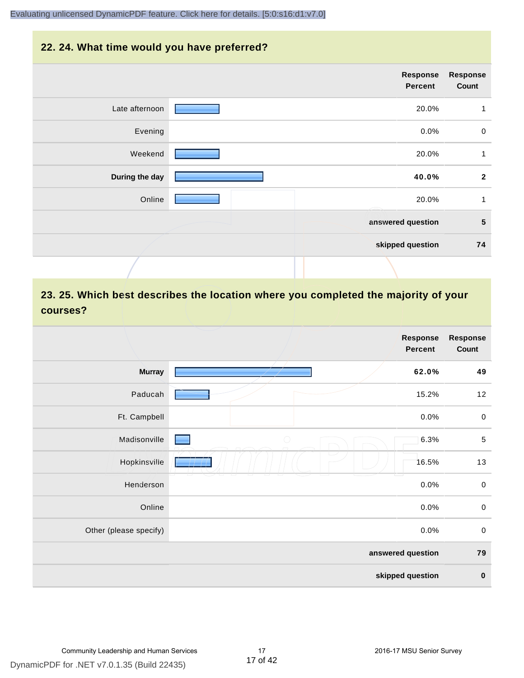#### **22. 24. What time would you have preferred?**

| Response<br><b>Percent</b> |                |
|----------------------------|----------------|
| 20.0%                      | Late afternoon |
| 0.0%                       | Evening        |
| 20.0%                      | Weekend        |
| 40.0%                      | During the day |
| 20.0%                      | Online         |
| answered question          |                |
| skipped question           |                |
|                            |                |

# **23. 25. Which best describes the location where you completed the majority of your courses?**

|                        |            | <b>Response</b><br>Percent | <b>Response</b><br>Count |
|------------------------|------------|----------------------------|--------------------------|
| <b>Murray</b>          |            | 62.0%                      | 49                       |
| Paducah                |            | 15.2%                      | 12                       |
| Ft. Campbell           |            | 0.0%                       | $\mathbf 0$              |
| Madisonville           | $\bigcirc$ | 6.3%                       | $\sqrt{5}$               |
| Hopkinsville           |            | 16.5%                      | 13                       |
| Henderson              |            | 0.0%                       | $\pmb{0}$                |
| Online                 |            | 0.0%                       | $\pmb{0}$                |
| Other (please specify) |            | 0.0%                       | $\pmb{0}$                |
|                        |            | answered question          | 79                       |
|                        |            | skipped question           | $\pmb{0}$                |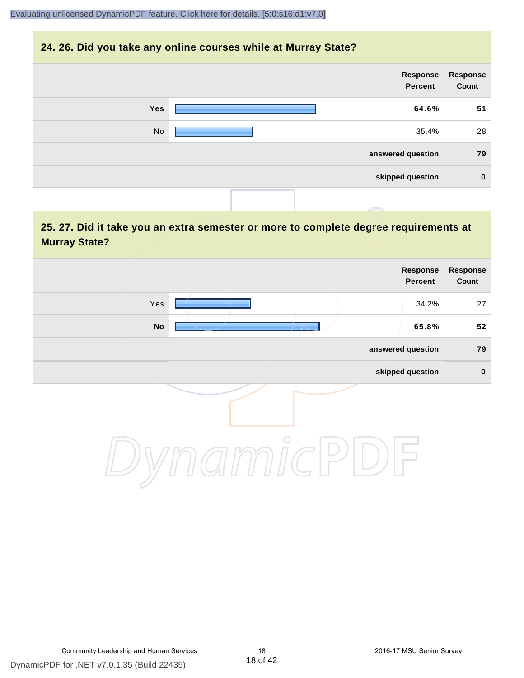#### **24. 26. Did you take any online courses while at Murray State?**

| Response<br>Count | Response<br>Percent |            |
|-------------------|---------------------|------------|
| 51                | 64.6%               | <b>Yes</b> |
| 28                | 35.4%               | No         |
| 79                | answered question   |            |
| $\bf{0}$          | skipped question    |            |
|                   |                     |            |

# **25. 27. Did it take you an extra semester or more to complete degree requirements at Murray State?**

| Response<br>Percent | Response<br>Count |
|---------------------|-------------------|
| Yes<br>34.2%        | 27                |
| No<br>65.8%         | 52                |
| answered question   | 79                |
| skipped question    | $\pmb{0}$         |
| $\circ$             |                   |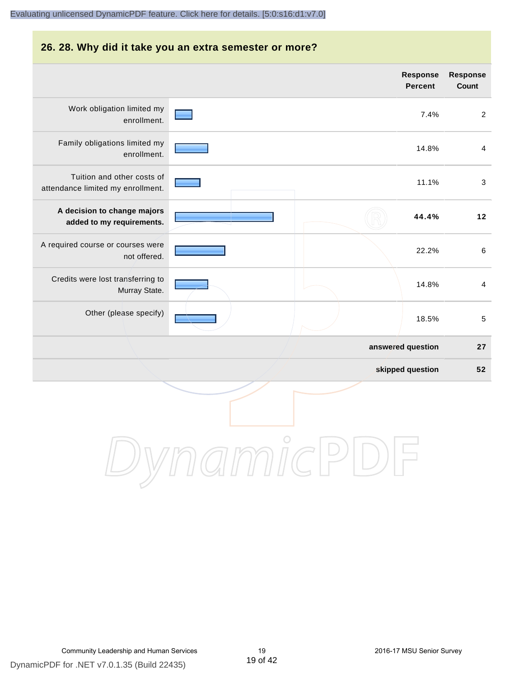# **26. 28. Why did it take you an extra semester or more? Response Response Percent Count** Work obligation limited my 7.4% 2 enrollment. Family obligations limited my 14.8% 4 enrollment. Tuition and other costs of 11.1% 3 attendance limited my enrollment. **A decision to change majors 44.4% 12 added to my requirements.** A required course or courses were 22.2% 6 not offered. Credits were lost transferring to 14.8% 4 Murray State. Other (please specify) 18.5% 5 **answered question 27 skipped question 52** DynamicPDF

DynamicPDF for .NET v7.0.1.35 (Build 22435)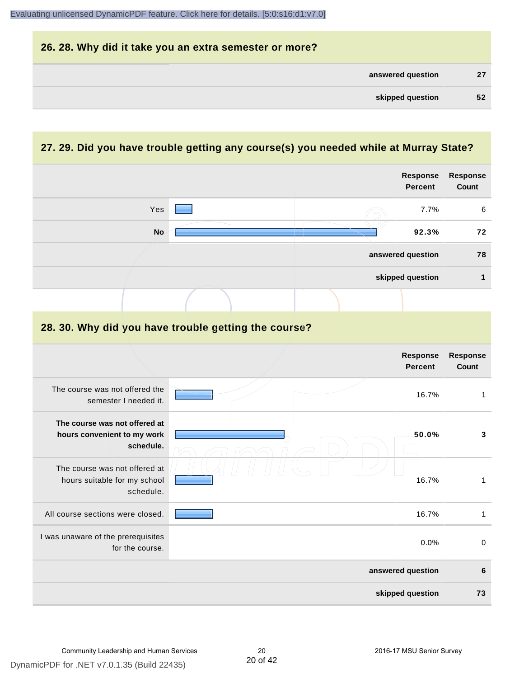| 26. 28. Why did it take you an extra semester or more? |    |
|--------------------------------------------------------|----|
| answered question                                      | 27 |
| skipped question                                       | 52 |

# **27. 29. Did you have trouble getting any course(s) you needed while at Murray State?**

|                                                                            |  |  | <b>Response</b><br><b>Percent</b> | <b>Response</b><br>Count |
|----------------------------------------------------------------------------|--|--|-----------------------------------|--------------------------|
| Yes                                                                        |  |  | 7.7%                              | 6                        |
| <b>No</b>                                                                  |  |  | 92.3%                             | 72                       |
|                                                                            |  |  | answered question                 | 78                       |
|                                                                            |  |  | skipped question                  | $\mathbf{1}$             |
|                                                                            |  |  |                                   |                          |
| 28. 30. Why did you have trouble getting the course?                       |  |  |                                   |                          |
|                                                                            |  |  | <b>Response</b><br><b>Percent</b> | Response<br><b>Count</b> |
| The course was not offered the<br>semester I needed it.                    |  |  | 16.7%                             | $\mathbf{1}$             |
| The course was not offered at<br>hours convenient to my work<br>schedule.  |  |  | 50.0%                             | 3                        |
| The course was not offered at<br>hours suitable for my school<br>schedule. |  |  | 16.7%                             | $\mathbf{1}$             |
| All course sections were closed.                                           |  |  | 16.7%                             | $\mathbf{1}$             |
| I was unaware of the prerequisites<br>for the course.                      |  |  | 0.0%                              | $\mathbf 0$              |
|                                                                            |  |  | answered question                 | 6                        |
|                                                                            |  |  | skipped question                  | 73                       |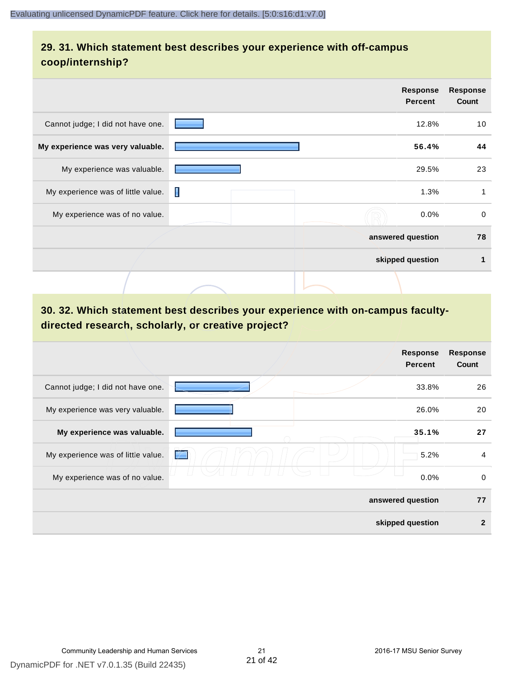# **29. 31. Which statement best describes your experience with off-campus coop/internship?**

|                                    |   | Response<br><b>Percent</b> | <b>Response</b><br>Count |
|------------------------------------|---|----------------------------|--------------------------|
| Cannot judge; I did not have one.  |   | 12.8%                      | 10                       |
| My experience was very valuable.   |   | 56.4%                      | 44                       |
| My experience was valuable.        |   | 29.5%                      | 23                       |
| My experience was of little value. | П | 1.3%                       | 1                        |
| My experience was of no value.     |   | $0.0\%$                    | 0                        |
|                                    |   | answered question          | 78                       |
|                                    |   | skipped question           | 1                        |
|                                    |   |                            |                          |

# **30. 32. Which statement best describes your experience with on-campus facultydirected research, scholarly, or creative project?**

|                                    | Response<br><b>Percent</b> | <b>Response</b><br>Count |
|------------------------------------|----------------------------|--------------------------|
| Cannot judge; I did not have one.  | 33.8%                      | 26                       |
| My experience was very valuable.   | 26.0%                      | 20                       |
| My experience was valuable.        | 35.1%                      | 27                       |
| My experience was of little value. | 5.2%<br>$\mathcal{V}$      | 4                        |
| My experience was of no value.     | 0.0%                       | 0                        |
|                                    | answered question          | 77                       |
|                                    | skipped question           | $\mathbf{2}$             |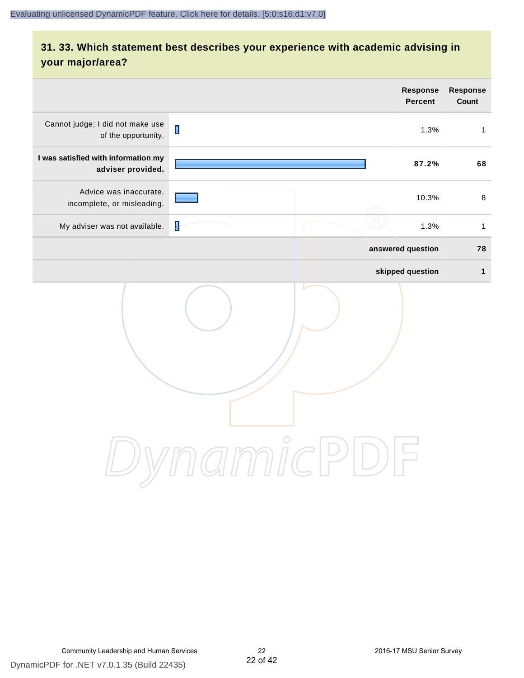# **31. 33. Which statement best describes your experience with academic advising in your major/area?**

|                                                          |                | <b>Response</b><br><b>Percent</b>                              | <b>Response</b><br>Count |
|----------------------------------------------------------|----------------|----------------------------------------------------------------|--------------------------|
| Cannot judge; I did not make use<br>of the opportunity.  | $\blacksquare$ | 1.3%                                                           | $\mathbf{1}$             |
| I was satisfied with information my<br>adviser provided. |                | 87.2%                                                          | 68                       |
| Advice was inaccurate,<br>incomplete, or misleading.     |                | 10.3%                                                          | $\,8\,$                  |
| My adviser was not available.                            | ł              | 1.3%                                                           | $\mathbf{1}$             |
|                                                          |                | answered question                                              | 78                       |
|                                                          |                | skipped question                                               | $\mathbf{1}$             |
|                                                          | amicl          | $\left( \begin{array}{c} \end{array} \right)$<br>$\frac{1}{2}$ |                          |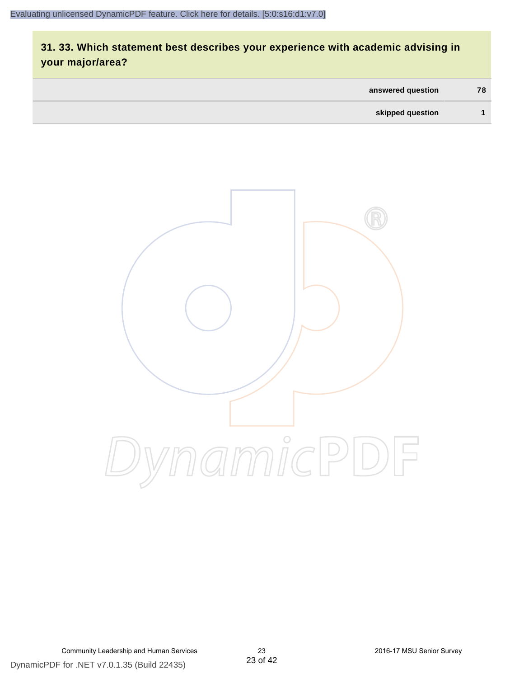# **31. 33. Which statement best describes your experience with academic advising in your major/area?**

| answered question | 78 |
|-------------------|----|
| skipped question  |    |



DynamicPDF for .NET v7.0.1.35 (Build 22435) Community Leadership and Human Services 23 2016-17 MSU Senior Survey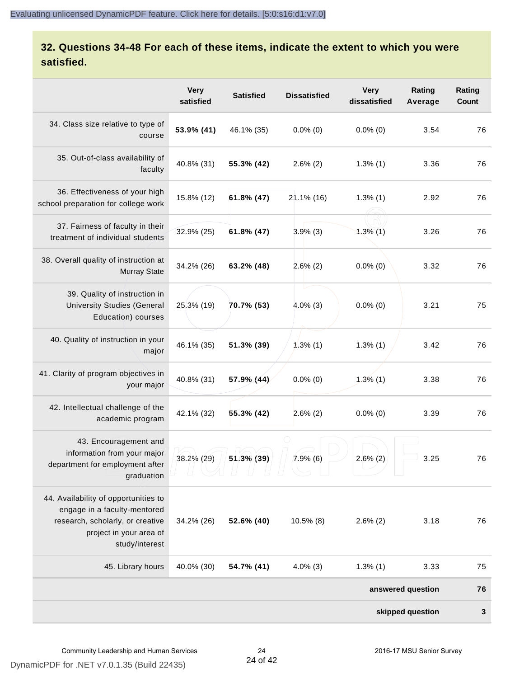# **32. Questions 34-48 For each of these items, indicate the extent to which you were satisfied.**

|                                                                                                                                                       | <b>Very</b><br>satisfied | <b>Satisfied</b> | <b>Dissatisfied</b> | <b>Very</b><br>dissatisfied | Rating<br>Average | Rating<br>Count |
|-------------------------------------------------------------------------------------------------------------------------------------------------------|--------------------------|------------------|---------------------|-----------------------------|-------------------|-----------------|
| 34. Class size relative to type of<br>course                                                                                                          | 53.9% (41)               | 46.1% (35)       | $0.0\%$ (0)         | $0.0\%$ (0)                 | 3.54              | 76              |
| 35. Out-of-class availability of<br>faculty                                                                                                           | 40.8% (31)               | 55.3% (42)       | $2.6\%$ (2)         | $1.3\%$ (1)                 | 3.36              | 76              |
| 36. Effectiveness of your high<br>school preparation for college work                                                                                 | 15.8% (12)               | $61.8\%$ (47)    | 21.1% (16)          | $1.3\%$ (1)                 | 2.92              | 76              |
| 37. Fairness of faculty in their<br>treatment of individual students                                                                                  | 32.9% (25)               | 61.8% (47)       | $3.9%$ (3)          | $1.3\%$ (1)                 | 3.26              | 76              |
| 38. Overall quality of instruction at<br><b>Murray State</b>                                                                                          | 34.2% (26)               | 63.2% (48)       | 2.6%(2)             | $0.0\%$ (0)                 | 3.32              | 76              |
| 39. Quality of instruction in<br><b>University Studies (General</b><br>Education) courses                                                             | 25.3% (19)               | 70.7% (53)       | $4.0\%$ (3)         | $0.0\%$ (0)                 | 3.21              | 75              |
| 40. Quality of instruction in your<br>major                                                                                                           | 46.1% (35)               | 51.3% (39)       | $1.3\%$ (1)         | $1.3\%$ (1)                 | 3.42              | 76              |
| 41. Clarity of program objectives in<br>your major                                                                                                    | 40.8% (31)               | 57.9% (44)       | $0.0\%$ (0)         | $1.3%$ (1)                  | 3.38              | 76              |
| 42. Intellectual challenge of the<br>academic program                                                                                                 | 42.1% (32)               | 55.3% (42)       | $2.6\%$ (2)         | $0.0\%$ (0)                 | 3.39              | 76              |
| 43. Encouragement and<br>information from your major<br>department for employment after<br>graduation                                                 | 38.2% (29)               | 51.3% (39)       | 7.9%(6)             | $2.6\%$ (2)                 | 3.25              | 76              |
| 44. Availability of opportunities to<br>engage in a faculty-mentored<br>research, scholarly, or creative<br>project in your area of<br>study/interest | 34.2% (26)               | 52.6% (40)       | $10.5\%$ (8)        | $2.6\%$ (2)                 | 3.18              | 76              |
| 45. Library hours                                                                                                                                     | 40.0% (30)               | 54.7% (41)       | $4.0\%$ (3)         | $1.3\%$ (1)                 | 3.33              | 75              |
|                                                                                                                                                       |                          |                  |                     |                             | answered question | 76              |
| skipped question                                                                                                                                      |                          |                  |                     |                             |                   | 3               |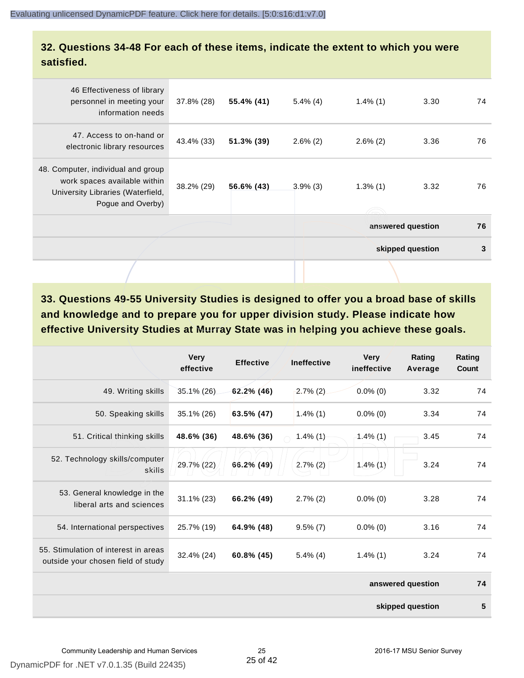#### **32. Questions 34-48 For each of these items, indicate the extent to which you were satisfied.**

| 46 Effectiveness of library<br>personnel in meeting your<br>information needs                                                | 37.8% (28) | 55.4% (41) | $5.4\%$ (4) | $1.4\%$ (1) | 3.30              | 74 |
|------------------------------------------------------------------------------------------------------------------------------|------------|------------|-------------|-------------|-------------------|----|
| 47. Access to on-hand or<br>electronic library resources                                                                     | 43.4% (33) | 51.3% (39) | $2.6\%$ (2) | $2.6\%$ (2) | 3.36              | 76 |
| 48. Computer, individual and group<br>work spaces available within<br>University Libraries (Waterfield,<br>Pogue and Overby) | 38.2% (29) | 56.6% (43) | $3.9\%$ (3) | $1.3\%$ (1) | 3.32              | 76 |
|                                                                                                                              |            |            |             |             | answered question | 76 |
|                                                                                                                              |            |            |             |             | skipped question  | 3  |
|                                                                                                                              |            |            |             |             |                   |    |

**33. Questions 49-55 University Studies is designed to offer you a broad base of skills and knowledge and to prepare you for upper division study. Please indicate how effective University Studies at Murray State was in helping you achieve these goals.**

|                                                                            | <b>Very</b><br>effective | <b>Effective</b> | <b>Ineffective</b> | <b>Very</b><br>ineffective | Rating<br>Average | Rating<br>Count |
|----------------------------------------------------------------------------|--------------------------|------------------|--------------------|----------------------------|-------------------|-----------------|
| 49. Writing skills                                                         | $35.1\%$ (26)            | $62.2\%$ (46)    | $2.7\%$ (2)        | $0.0\%$ (0)                | 3.32              | 74              |
| 50. Speaking skills                                                        | 35.1% (26)               | 63.5% (47)       | $1.4\%$ (1)        | $0.0\%$ (0)                | 3.34              | 74              |
| 51. Critical thinking skills                                               | 48.6% (36)               | 48.6% (36)       | $1.4\%$ (1)        | $1.4\%$ (1)                | 3.45              | 74              |
| 52. Technology skills/computer<br>skills                                   | 29.7% (22)               | 66.2% (49)       | $2.7\%$ (2)        | $1.4\%$ (1)                | 3.24              | 74              |
| 53. General knowledge in the<br>liberal arts and sciences                  | $31.1\%$ (23)            | 66.2% (49)       | $2.7\%$ (2)        | $0.0\%$ (0)                | 3.28              | 74              |
| 54. International perspectives                                             | 25.7% (19)               | 64.9% (48)       | $9.5\%$ (7)        | $0.0\%$ (0)                | 3.16              | 74              |
| 55. Stimulation of interest in areas<br>outside your chosen field of study | 32.4% (24)               | 60.8% (45)       | $5.4\%$ (4)        | $1.4\%$ (1)                | 3.24              | 74              |
|                                                                            |                          |                  |                    |                            | answered question | 74              |
|                                                                            |                          |                  |                    |                            | skipped question  | 5               |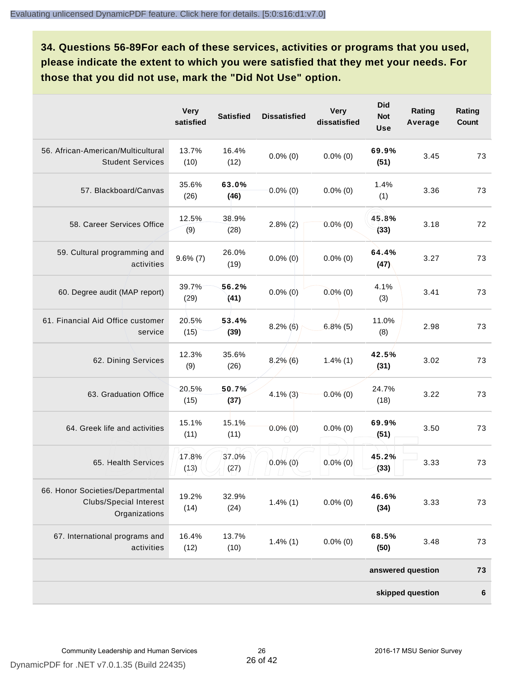**34. Questions 56-89For each of these services, activities or programs that you used, please indicate the extent to which you were satisfied that they met your needs. For those that you did not use, mark the "Did Not Use" option.**

|                                                                                    | <b>Very</b><br>satisfied | <b>Satisfied</b> | <b>Dissatisfied</b> | <b>Very</b><br>dissatisfied | <b>Did</b><br><b>Not</b><br><b>Use</b> | Rating<br>Average | Rating<br>Count |
|------------------------------------------------------------------------------------|--------------------------|------------------|---------------------|-----------------------------|----------------------------------------|-------------------|-----------------|
| 56. African-American/Multicultural<br><b>Student Services</b>                      | 13.7%<br>(10)            | 16.4%<br>(12)    | $0.0\%$ (0)         | $0.0\%$ (0)                 | 69.9%<br>(51)                          | 3.45              | 73              |
| 57. Blackboard/Canvas                                                              | 35.6%<br>(26)            | 63.0%<br>(46)    | $0.0\%$ (0)         | $0.0\%$ (0)                 | 1.4%<br>(1)                            | 3.36              | 73              |
| 58. Career Services Office                                                         | 12.5%<br>(9)             | 38.9%<br>(28)    | $2.8\%$ (2)         | $0.0\%$ (0)                 | 45.8%<br>(33)                          | 3.18              | 72              |
| 59. Cultural programming and<br>activities                                         | $9.6\%$ $(7)$            | 26.0%<br>(19)    | $0.0\%$ (0)         | $0.0\%$ (0)                 | 64.4%<br>(47)                          | 3.27              | 73              |
| 60. Degree audit (MAP report)                                                      | 39.7%<br>(29)            | 56.2%<br>(41)    | $0.0\%$ (0)         | $0.0\%$ (0)                 | 4.1%<br>(3)                            | 3.41              | 73              |
| 61. Financial Aid Office customer<br>service                                       | 20.5%<br>(15)            | 53.4%<br>(39)    | $8.2\%$ (6)         | $6.8\%$ (5)                 | 11.0%<br>(8)                           | 2.98              | 73              |
| 62. Dining Services                                                                | 12.3%<br>(9)             | 35.6%<br>(26)    | $8,2\%$ (6)         | $1.4\%$ (1)                 | 42.5%<br>(31)                          | 3.02              | 73              |
| 63. Graduation Office                                                              | 20.5%<br>(15)            | 50.7%<br>(37)    | $4.1\%$ (3)         | $0.0\%$ (0)                 | 24.7%<br>(18)                          | 3.22              | 73              |
| 64. Greek life and activities                                                      | 15.1%<br>(11)            | 15.1%<br>(11)    | $0.0\%$ (0)         | $0.0\%$ (0)                 | 69.9%<br>(51)                          | 3.50              | 73              |
| 65. Health Services                                                                | 17.8%<br>(13)            | 37.0%<br>(27)    | $0.0\%$ (0)         | $0.0\%$ (0)                 | 45.2%<br>(33)                          | 3.33              | 73              |
| 66. Honor Societies/Departmental<br><b>Clubs/Special Interest</b><br>Organizations | 19.2%<br>(14)            | 32.9%<br>(24)    | $1.4\%$ (1)         | $0.0\%$ (0)                 | 46.6%<br>(34)                          | 3.33              | 73              |
| 67. International programs and<br>activities                                       | 16.4%<br>(12)            | 13.7%<br>(10)    | $1.4\%$ (1)         | $0.0\%$ (0)                 | 68.5%<br>(50)                          | 3.48              | 73              |
|                                                                                    |                          |                  |                     |                             |                                        | answered question | 73              |
|                                                                                    |                          |                  |                     |                             |                                        | skipped question  | $\bf 6$         |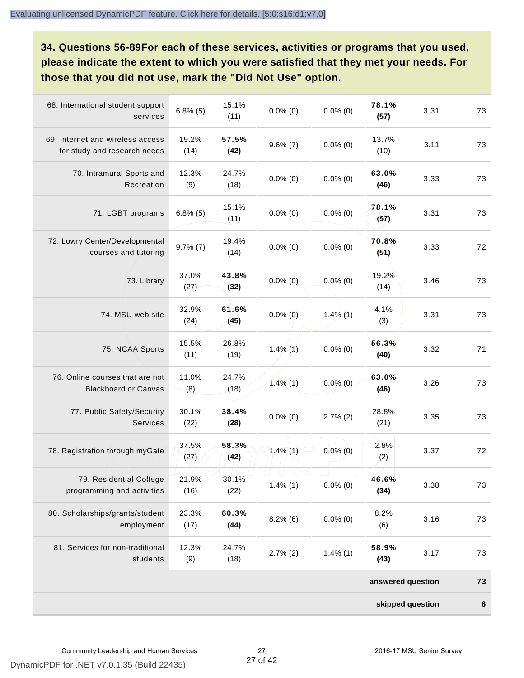**34. Questions 56-89For each of these services, activities or programs that you used, please indicate the extent to which you were satisfied that they met your needs. For those that you did not use, mark the "Did Not Use" option.**

|                                                                  |               |               |             |             | skipped question  |      | $\bf 6$ |
|------------------------------------------------------------------|---------------|---------------|-------------|-------------|-------------------|------|---------|
|                                                                  |               |               |             |             | answered question |      | 73      |
| 81. Services for non-traditional<br>students                     | 12.3%<br>(9)  | 24.7%<br>(18) | $2.7\%$ (2) | $1.4\%$ (1) | 58.9%<br>(43)     | 3.17 | 73      |
| 80. Scholarships/grants/student<br>employment                    | 23.3%<br>(17) | 60.3%<br>(44) | $8.2\%$ (6) | $0.0\%$ (0) | 8.2%<br>(6)       | 3.16 | 73      |
| 79. Residential College<br>programming and activities            | 21.9%<br>(16) | 30.1%<br>(22) | $1.4\%$ (1) | $0.0\%$ (0) | 46.6%<br>(34)     | 3.38 | 73      |
| 78. Registration through myGate                                  | 37.5%<br>(27) | 58.3%<br>(42) | $1.4\%$ (1) | $0.0\%$ (0) | 2.8%<br>(2)       | 3.37 | 72      |
| 77. Public Safety/Security<br><b>Services</b>                    | 30.1%<br>(22) | 38.4%<br>(28) | $0.0\%$ (0) | $2.7\%$ (2) | 28.8%<br>(21)     | 3.35 | 73      |
| 76. Online courses that are not<br><b>Blackboard or Canvas</b>   | 11.0%<br>(8)  | 24.7%<br>(18) | $1.4\%$ (1) | $0.0\%$ (0) | 63.0%<br>(46)     | 3.26 | 73      |
| 75. NCAA Sports                                                  | 15.5%<br>(11) | 26.8%<br>(19) | $1.4\%$ (1) | $0.0\%$ (0) | 56.3%<br>(40)     | 3.32 | 71      |
| 74. MSU web site                                                 | 32.9%<br>(24) | 61.6%<br>(45) | $0.0\%$ (0) | $1.4\%$ (1) | 4.1%<br>(3)       | 3.31 | 73      |
| 73. Library                                                      | 37.0%<br>(27) | 43.8%<br>(32) | $0.0\%$ (0) | $0.0\%$ (0) | 19.2%<br>(14)     | 3.46 | 73      |
| 72. Lowry Center/Developmental<br>courses and tutoring           | $9.7\%$ $(7)$ | 19.4%<br>(14) | $0.0\%$ (0) | $0.0\%$ (0) | 70.8%<br>(51)     | 3.33 | 72      |
| 71. LGBT programs                                                | $6.8\%$ (5)   | 15.1%<br>(11) | $0.0\%$ (0) | $0.0\%$ (0) | 78.1%<br>(57)     | 3.31 | 73      |
| 70. Intramural Sports and<br>Recreation                          | 12.3%<br>(9)  | 24.7%<br>(18) | $0.0\%$ (0) | $0.0\%$ (0) | 63.0%<br>(46)     | 3.33 | 73      |
| 69. Internet and wireless access<br>for study and research needs | 19.2%<br>(14) | 57.5%<br>(42) | $9.6\%$ (7) | $0.0\%$ (0) | 13.7%<br>(10)     | 3.11 | 73      |
| 68. International student support<br>services                    | $6.8\%$ (5)   | 15.1%<br>(11) | $0.0\%$ (0) | $0.0\%$ (0) | 78.1%<br>(57)     | 3.31 | 73      |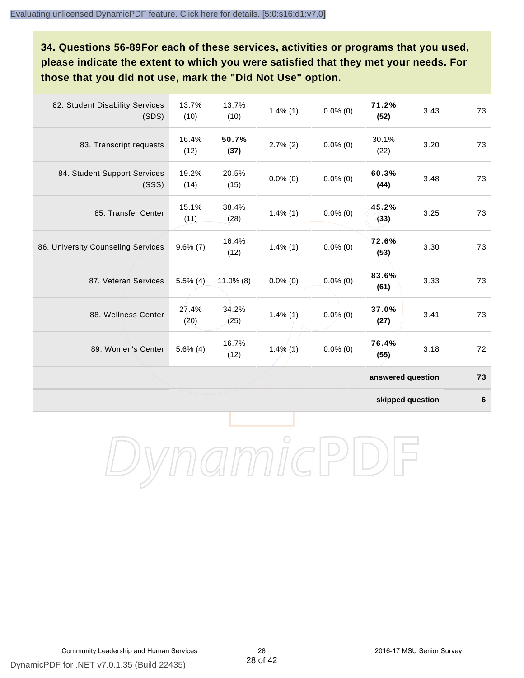**34. Questions 56-89For each of these services, activities or programs that you used, please indicate the extent to which you were satisfied that they met your needs. For those that you did not use, mark the "Did Not Use" option.**

| 82. Student Disability Services<br>(SDS) | 13.7%<br>(10) | 13.7%<br>(10) | $1.4\%$ (1) | $0.0\%$ (0) | 71.2%<br>(52)     | 3.43 | 73 |
|------------------------------------------|---------------|---------------|-------------|-------------|-------------------|------|----|
| 83. Transcript requests                  | 16.4%<br>(12) | 50.7%<br>(37) | $2.7\%$ (2) | $0.0\%$ (0) | 30.1%<br>(22)     | 3.20 | 73 |
| 84. Student Support Services<br>(SSS)    | 19.2%<br>(14) | 20.5%<br>(15) | $0.0\%$ (0) | $0.0\%$ (0) | 60.3%<br>(44)     | 3.48 | 73 |
| 85. Transfer Center                      | 15.1%<br>(11) | 38.4%<br>(28) | $1.4\%$ (1) | $0.0\%$ (0) | 45.2%<br>(33)     | 3.25 | 73 |
| 86. University Counseling Services       | $9.6\%$ (7)   | 16.4%<br>(12) | $1.4\%$ (1) | $0.0\%$ (0) | 72.6%<br>(53)     | 3.30 | 73 |
| 87. Veteran Services                     | $5.5\%$ (4)   | $11.0\%$ (8)  | $0.0\%$ (0) | $0.0\%$ (0) | 83.6%<br>(61)     | 3.33 | 73 |
| 88. Wellness Center                      | 27.4%<br>(20) | 34.2%<br>(25) | $1.4\%$ (1) | $0.0\%$ (0) | 37.0%<br>(27)     | 3.41 | 73 |
| 89. Women's Center                       | $5.6\%$ (4)   | 16.7%<br>(12) | $1.4\%$ (1) | $0.0\%$ (0) | 76.4%<br>(55)     | 3.18 | 72 |
|                                          |               |               |             |             | answered question |      | 73 |

**skipped question 6**

DynamicPDF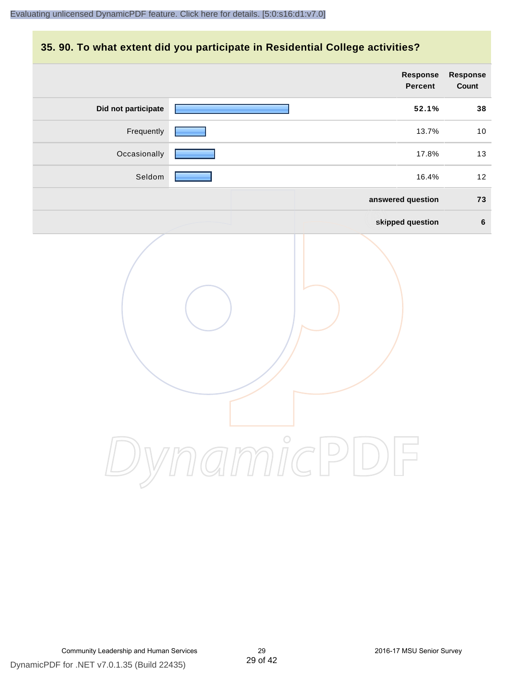#### **35. 90. To what extent did you participate in Residential College activities?**

|                     | Response<br>Percent | Response<br>Count |
|---------------------|---------------------|-------------------|
| Did not participate | 52.1%               | 38                |
| Frequently          | 13.7%               | 10                |
| Occasionally        | 17.8%               | 13                |
| Seldom              | 16.4%               | 12                |
|                     | answered question   | 73                |
|                     | skipped question    | $6\phantom{a}$    |
|                     | ynamicPD            |                   |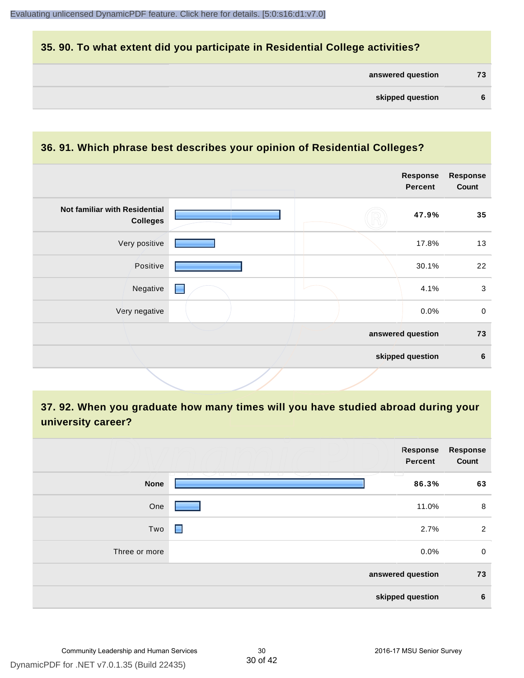#### **35. 90. To what extent did you participate in Residential College activities?**

| answered question |  | 73 |
|-------------------|--|----|
|-------------------|--|----|

#### **36. 91. Which phrase best describes your opinion of Residential Colleges?**

|                                                  |  | Response<br><b>Percent</b> | <b>Response</b><br>Count |
|--------------------------------------------------|--|----------------------------|--------------------------|
| Not familiar with Residential<br><b>Colleges</b> |  | 47.9%                      | 35                       |
| Very positive                                    |  | 17.8%                      | 13                       |
| Positive                                         |  | 30.1%                      | 22                       |
| Negative<br>▅                                    |  | 4.1%                       | $\mathbf{3}$             |
| Very negative                                    |  | 0.0%                       | $\mathbf 0$              |
|                                                  |  | answered question          | 73                       |
|                                                  |  | skipped question           | $\bf 6$                  |

**37. 92. When you graduate how many times will you have studied abroad during your university career?**

|               | Response<br>Percent                            | Response<br>Count |
|---------------|------------------------------------------------|-------------------|
| <b>None</b>   | - 1 - 1 -<br>$\overline{\phantom{a}}$<br>86.3% | 63                |
| One           | 11.0%                                          | 8                 |
| Two           | 2.7%<br>Е                                      | $\overline{2}$    |
| Three or more | 0.0%                                           | $\mathbf 0$       |
|               | answered question                              | 73                |
|               | skipped question                               | $\bf 6$           |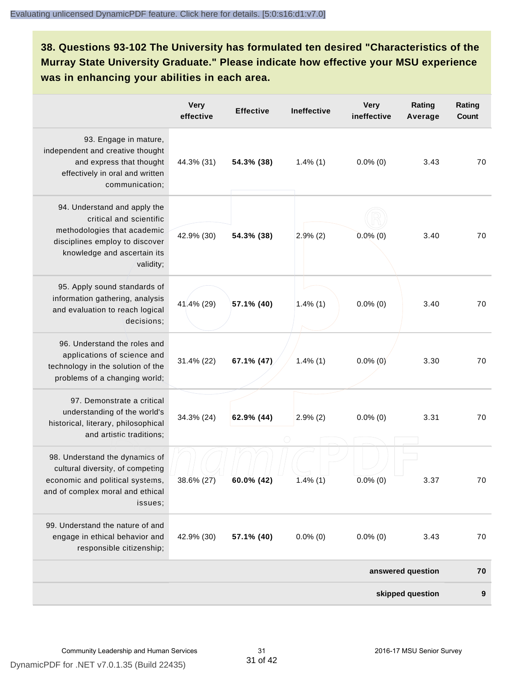**38. Questions 93-102 The University has formulated ten desired "Characteristics of the Murray State University Graduate." Please indicate how effective your MSU experience was in enhancing your abilities in each area.**

|                                                                                                                                                                      | <b>Very</b><br>effective | <b>Effective</b> | <b>Ineffective</b> | <b>Very</b><br>ineffective | Rating<br>Average | Rating<br>Count |
|----------------------------------------------------------------------------------------------------------------------------------------------------------------------|--------------------------|------------------|--------------------|----------------------------|-------------------|-----------------|
| 93. Engage in mature,<br>independent and creative thought<br>and express that thought<br>effectively in oral and written<br>communication;                           | 44.3% (31)               | 54.3% (38)       | $1.4\%$ (1)        | $0.0\%$ (0)                | 3.43              | 70              |
| 94. Understand and apply the<br>critical and scientific<br>methodologies that academic<br>disciplines employ to discover<br>knowledge and ascertain its<br>validity; | 42.9% (30)               | 54.3% (38)       | 2.9%(2)            | $0.0\%$ (0)                | 3.40              | 70              |
| 95. Apply sound standards of<br>information gathering, analysis<br>and evaluation to reach logical<br>decisions;                                                     | 41.4% (29)               | 57.1% (40)       | $1.4\%$ (1)        | $0.0\%$ (0)                | 3.40              | 70              |
| 96. Understand the roles and<br>applications of science and<br>technology in the solution of the<br>problems of a changing world;                                    | 31.4% (22)               | 67.1% (47)       | $1.4\%$ (1)        | $0.0\%$ (0)                | 3.30              | 70              |
| 97. Demonstrate a critical<br>understanding of the world's<br>historical, literary, philosophical<br>and artistic traditions;                                        | 34.3% (24)               | 62.9% (44)       | $2.9\%$ (2)        | $0.0\%$ (0)                | 3.31              | 70              |
| 98. Understand the dynamics of<br>cultural diversity, of competing<br>economic and political systems,<br>and of complex moral and ethical<br>issues;                 | 38.6% (27)               | 60.0% (42)       | $1.4\%$ (1)        | $0.0\%$ (0)                | 3.37              | 70              |
| 99. Understand the nature of and<br>engage in ethical behavior and<br>responsible citizenship;                                                                       | 42.9% (30)               | 57.1% (40)       | $0.0\%$ (0)        | $0.0\%$ (0)                | 3.43              | 70              |
|                                                                                                                                                                      |                          |                  |                    |                            | answered question | 70              |
|                                                                                                                                                                      |                          |                  |                    |                            | skipped question  | 9               |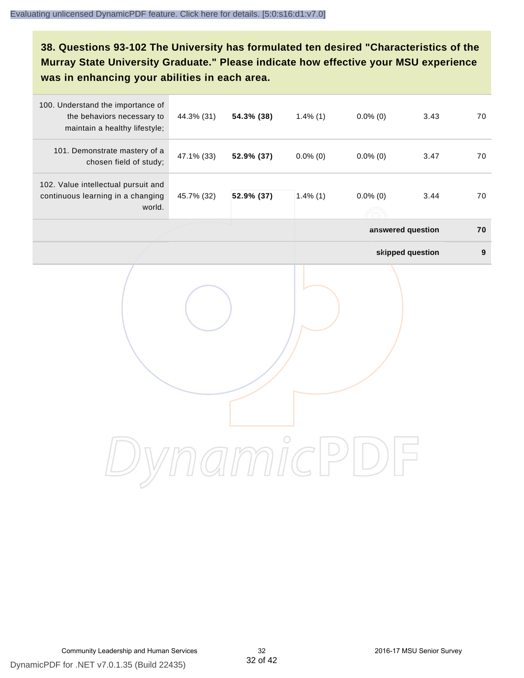**38. Questions 93-102 The University has formulated ten desired "Characteristics of the Murray State University Graduate." Please indicate how effective your MSU experience was in enhancing your abilities in each area.**

| 100. Understand the importance of<br>the behaviors necessary to<br>maintain a healthy lifestyle; | 44.3% (31) | 54.3% (38) | $1.4\%$ (1) | $0.0\%$ (0)       | 3.43             | 70               |
|--------------------------------------------------------------------------------------------------|------------|------------|-------------|-------------------|------------------|------------------|
| 101. Demonstrate mastery of a<br>chosen field of study;                                          | 47.1% (33) | 52.9% (37) | $0.0\%$ (0) | $0.0\%$ (0)       | 3.47             | 70               |
| 102. Value intellectual pursuit and<br>continuous learning in a changing<br>world.               | 45.7% (32) | 52.9% (37) | $1.4\%$ (1) | $0.0\%$ (0)       | 3.44             | 70               |
|                                                                                                  |            |            |             | answered question |                  | 70               |
|                                                                                                  |            |            |             |                   | skipped question | $\boldsymbol{9}$ |
|                                                                                                  |            |            |             |                   |                  |                  |
|                                                                                                  |            |            |             |                   |                  |                  |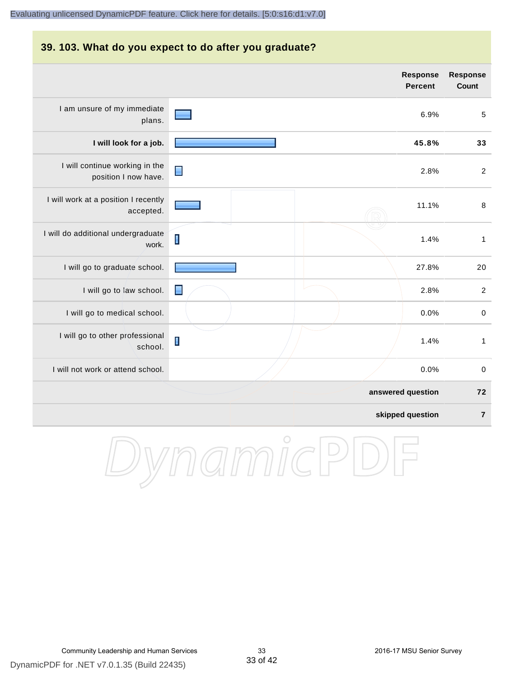#### **39. 103. What do you expect to do after you graduate? Response Response Percent Count** I am unsure of my immediate 6.9% 5 plans. **I will look for a job. 45.8% 33** I will continue working in the ∎ 2.8% 2 position I now have. I will work at a position I recently 11.1% 8 accepted. I will do additional undergraduate  $\blacksquare$ 1.4% 1 work. I will go to graduate school. **27.8%** 20 I will go to law school.  $\Box$  2.8% 2 I will go to medical school.  $\begin{array}{ccc} 0.0\% & 0 \end{array}$ I will go to other professional I 1.4% 1 school. I will not work or attend school. 0.0% 0 **answered question 72 skipped question 7**

DynamicPD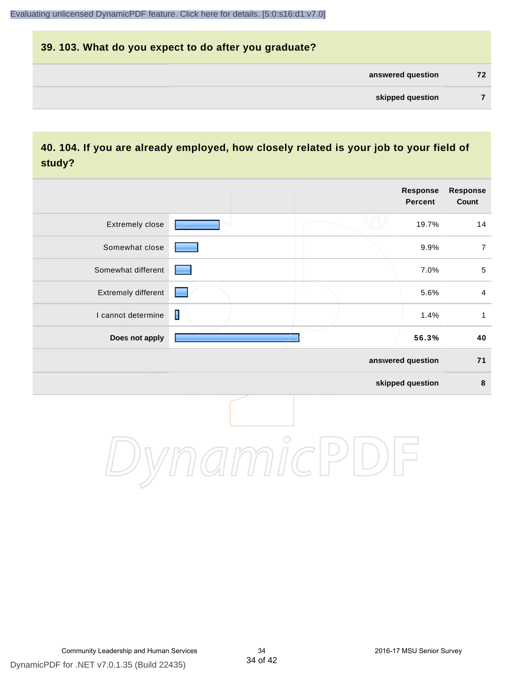# **39. 103. What do you expect to do after you graduate? answered question 72 skipped question 7**

#### **40. 104. If you are already employed, how closely related is your job to your field of study?**

|                     |                |  | <b>Response</b><br>Percent | <b>Response</b><br>Count |
|---------------------|----------------|--|----------------------------|--------------------------|
| Extremely close     |                |  | 19.7%                      | 14                       |
| Somewhat close      |                |  | 9.9%                       | $\boldsymbol{7}$         |
| Somewhat different  |                |  | 7.0%                       | $\,$ 5 $\,$              |
| Extremely different |                |  | 5.6%                       | $\overline{\mathbf{4}}$  |
| I cannot determine  | $\blacksquare$ |  | 1.4%                       | $\mathbf{1}$             |
| Does not apply      |                |  | 56.3%                      | 40                       |
|                     |                |  | answered question          | $71$                     |
|                     |                |  | skipped question           | 8                        |
|                     |                |  |                            |                          |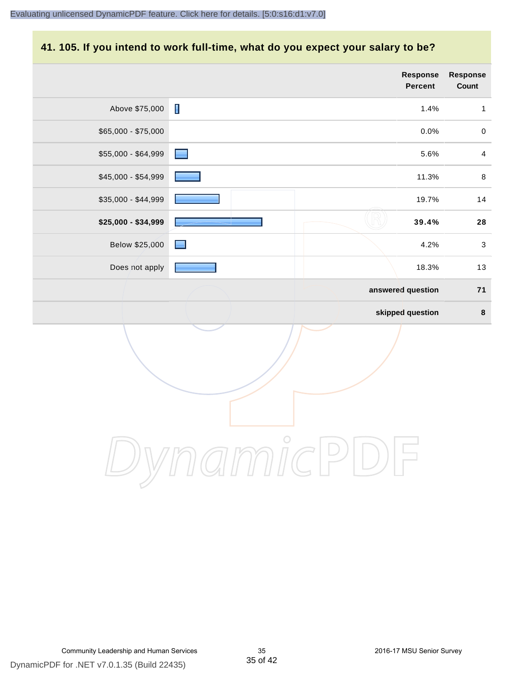# **41. 105. If you intend to work full-time, what do you expect your salary to be?**

|                     |                | <b>Response</b><br>Percent | Response<br>Count |
|---------------------|----------------|----------------------------|-------------------|
| Above \$75,000      | $\blacksquare$ | 1.4%                       | $\mathbf{1}$      |
| $$65,000 - $75,000$ |                | 0.0%                       | $\mathbf 0$       |
| \$55,000 - \$64,999 |                | 5.6%                       | $\overline{4}$    |
| \$45,000 - \$54,999 |                | 11.3%                      | $\,8\,$           |
| \$35,000 - \$44,999 |                | 19.7%                      | $14$              |
| \$25,000 - \$34,999 |                | 39.4%                      | 28                |
| Below \$25,000      | and in         | 4.2%                       | $\mathsf 3$       |
| Does not apply      |                | 18.3%                      | 13                |
|                     |                | answered question          | $71$              |
|                     |                | skipped question           | $\pmb{8}$         |
|                     |                |                            |                   |
|                     | $\bigcirc$     |                            |                   |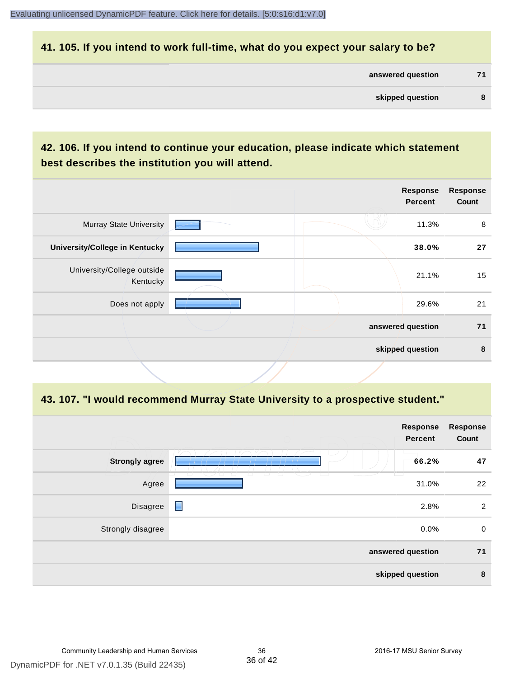#### **41. 105. If you intend to work full-time, what do you expect your salary to be?**

| answered question |  |
|-------------------|--|
|                   |  |

### **42. 106. If you intend to continue your education, please indicate which statement best describes the institution you will attend.**

|                                        |  | Response<br><b>Percent</b> | <b>Response</b><br>Count |
|----------------------------------------|--|----------------------------|--------------------------|
| <b>Murray State University</b>         |  | 11.3%                      | 8                        |
| <b>University/College in Kentucky</b>  |  | 38.0%                      | 27                       |
| University/College outside<br>Kentucky |  | 21.1%                      | 15                       |
| Does not apply                         |  | 29.6%                      | 21                       |
|                                        |  | answered question          | 71                       |
|                                        |  | skipped question           | 8                        |
|                                        |  |                            |                          |

#### **43. 107. "I would recommend Murray State University to a prospective student."**

|                       |                                                                                          | Response<br>Percent | <b>Response</b><br>Count |
|-----------------------|------------------------------------------------------------------------------------------|---------------------|--------------------------|
| <b>Strongly agree</b> |                                                                                          | 66.2%               | 47                       |
| Agree                 | $\overline{\phantom{0}}$<br>$\overline{a}$<br>$\overline{\phantom{a}}$<br><b>College</b> | 31.0%               | 22                       |
| Disagree              | $\blacksquare$                                                                           | 2.8%                | $\overline{2}$           |
| Strongly disagree     |                                                                                          | 0.0%                | $\mathbf 0$              |
|                       |                                                                                          | answered question   | 71                       |
|                       |                                                                                          | skipped question    | 8                        |
|                       |                                                                                          |                     |                          |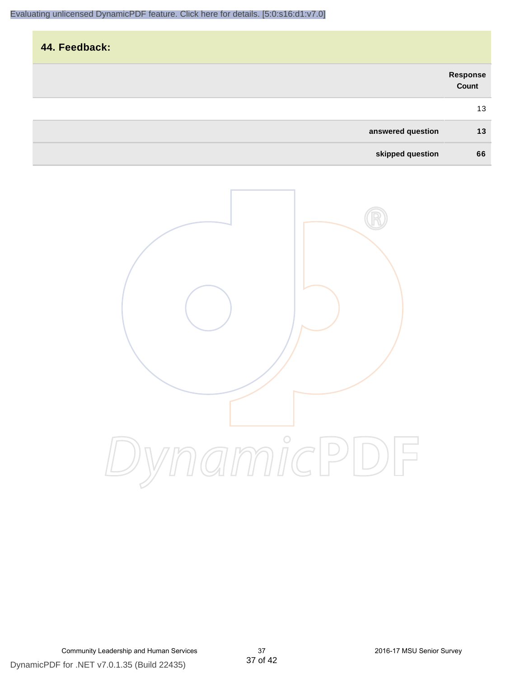| 44. Feedback:     |                   |
|-------------------|-------------------|
|                   | Response<br>Count |
|                   | 13                |
| answered question | 13                |
| skipped question  | 66                |

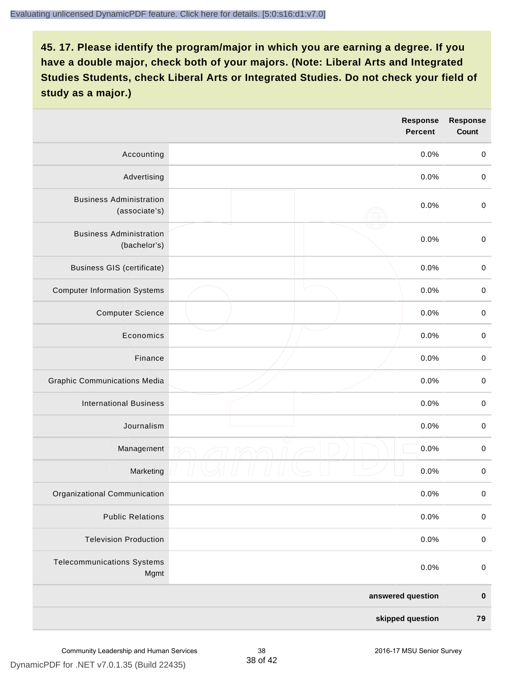|                                                 |                  | Response<br><b>Percent</b> | <b>Response</b><br><b>Count</b> |
|-------------------------------------------------|------------------|----------------------------|---------------------------------|
| Accounting                                      |                  | 0.0%                       | $\mathbf 0$                     |
| Advertising                                     |                  | 0.0%                       | $\,0\,$                         |
| <b>Business Administration</b><br>(associate's) |                  | 0.0%                       | $\pmb{0}$                       |
| <b>Business Administration</b><br>(bachelor's)  |                  | 0.0%                       | $\mathbf 0$                     |
| <b>Business GIS (certificate)</b>               |                  | 0.0%                       | $\pmb{0}$                       |
| <b>Computer Information Systems</b>             |                  | 0.0%                       | $\pmb{0}$                       |
| <b>Computer Science</b>                         |                  | 0.0%                       | $\mathbf 0$                     |
| Economics                                       |                  | 0.0%                       | $\mathbf 0$                     |
| Finance                                         |                  | 0.0%                       | $\pmb{0}$                       |
| <b>Graphic Communications Media</b>             |                  | 0.0%                       | $\,0\,$                         |
| <b>International Business</b>                   |                  | 0.0%                       | $\pmb{0}$                       |
| Journalism                                      |                  | 0.0%                       | $\mathbf 0$                     |
| Management                                      |                  | 0.0%                       | $\pmb{0}$                       |
| Marketing                                       |                  | 0.0%                       | $\pmb{0}$                       |
| Organizational Communication                    |                  | 0.0%                       | 0                               |
| <b>Public Relations</b>                         |                  | 0.0%                       | $\mathbf 0$                     |
| <b>Television Production</b>                    |                  | 0.0%                       | $\mathbf 0$                     |
| <b>Telecommunications Systems</b><br>Mgmt       |                  | 0.0%                       | $\mathbf 0$                     |
|                                                 |                  | answered question          | $\pmb{0}$                       |
|                                                 | skipped question |                            | 79                              |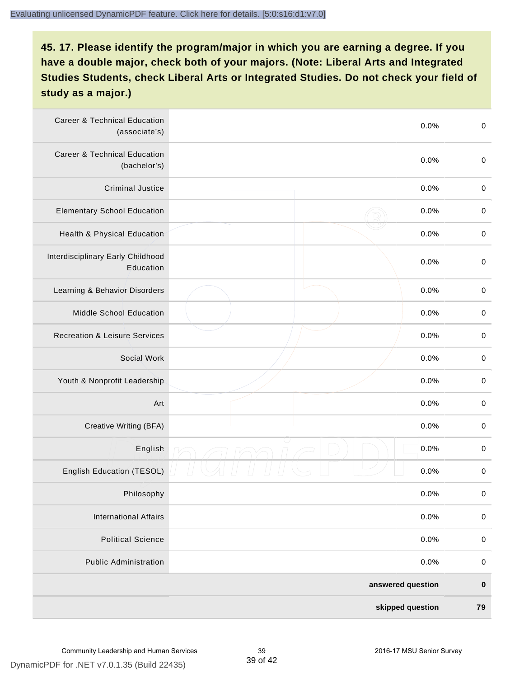| <b>Career &amp; Technical Education</b><br>(associate's) |  | 0.0%              | $\pmb{0}$   |
|----------------------------------------------------------|--|-------------------|-------------|
| <b>Career &amp; Technical Education</b><br>(bachelor's)  |  | 0.0%              | $\pmb{0}$   |
| <b>Criminal Justice</b>                                  |  | 0.0%              | $\,0\,$     |
| <b>Elementary School Education</b>                       |  | 0.0%              | $\mathbf 0$ |
| Health & Physical Education                              |  | 0.0%              | $\pmb{0}$   |
| Interdisciplinary Early Childhood<br>Education           |  | 0.0%              | $\pmb{0}$   |
| Learning & Behavior Disorders                            |  | 0.0%              | $\,0\,$     |
| Middle School Education                                  |  | 0.0%              | $\mathbf 0$ |
| <b>Recreation &amp; Leisure Services</b>                 |  | 0.0%              | $\mathbf 0$ |
| Social Work                                              |  | 0.0%              | $\pmb{0}$   |
| Youth & Nonprofit Leadership                             |  | 0.0%              | $\,0\,$     |
| Art                                                      |  | 0.0%              | $\,0\,$     |
| Creative Writing (BFA)                                   |  | 0.0%              | $\mathbf 0$ |
| English                                                  |  | 0.0%              | $\mathbf 0$ |
| English Education (TESOL)                                |  | 0.0%              | 0           |
| Philosophy                                               |  | 0.0%              | 0           |
| <b>International Affairs</b>                             |  | 0.0%              | $\mathbf 0$ |
| <b>Political Science</b>                                 |  | 0.0%              | $\mathbf 0$ |
| <b>Public Administration</b>                             |  | 0.0%              | $\mathbf 0$ |
|                                                          |  | answered question | $\pmb{0}$   |
| skipped question                                         |  |                   | 79          |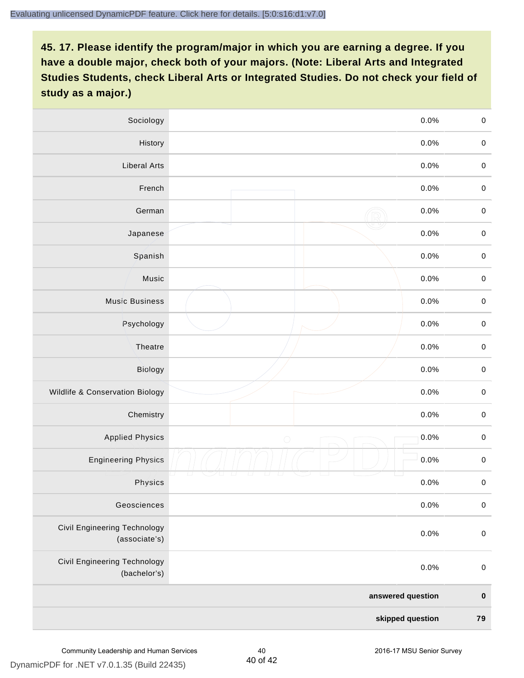| Sociology                                            |                   | 0.0%    | $\mathbf 0$ |
|------------------------------------------------------|-------------------|---------|-------------|
| History                                              |                   | $0.0\%$ | $\mathbf 0$ |
| <b>Liberal Arts</b>                                  |                   | 0.0%    | $\mathbf 0$ |
| French                                               |                   | 0.0%    | $\pmb{0}$   |
| German                                               |                   | 0.0%    | $\mathbf 0$ |
| Japanese                                             |                   | 0.0%    | $\mathbf 0$ |
| Spanish                                              |                   | 0.0%    | $\mathbf 0$ |
| Music                                                |                   | 0.0%    | $\mathbf 0$ |
| <b>Music Business</b>                                |                   | 0.0%    | $\pmb{0}$   |
| Psychology                                           |                   | 0.0%    | $\mathbf 0$ |
| Theatre                                              |                   | 0.0%    | $\mathbf 0$ |
| Biology                                              |                   | 0.0%    | $\mathbf 0$ |
| Wildlife & Conservation Biology                      |                   | 0.0%    | $\mathbf 0$ |
| Chemistry                                            |                   | 0.0%    | $\pmb{0}$   |
| <b>Applied Physics</b>                               | $\bigcirc$        | 0.0%    | $\mathbf 0$ |
| <b>Engineering Physics</b>                           |                   | 0.0%    | $\mathbf 0$ |
| Physics                                              |                   | 0.0%    | $\mathbf 0$ |
| Geosciences                                          |                   | 0.0%    | $\mathbf 0$ |
| <b>Civil Engineering Technology</b><br>(associate's) |                   | 0.0%    | $\pmb{0}$   |
| Civil Engineering Technology<br>(bachelor's)         |                   | 0.0%    | $\pmb{0}$   |
|                                                      | answered question |         | $\pmb{0}$   |
| skipped question                                     |                   |         | 79          |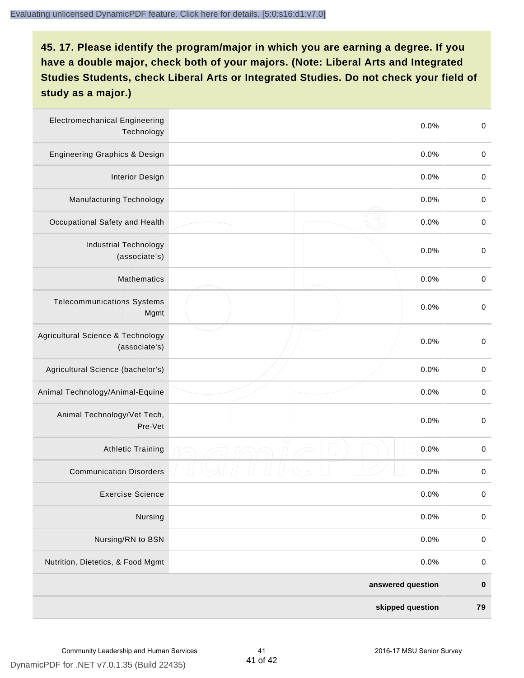| <b>Electromechanical Engineering</b><br>Technology |  | 0.0%              | $\mathbf 0$ |
|----------------------------------------------------|--|-------------------|-------------|
| <b>Engineering Graphics &amp; Design</b>           |  | 0.0%              | $\mathbf 0$ |
| <b>Interior Design</b>                             |  | 0.0%              | $\pmb{0}$   |
| Manufacturing Technology                           |  | 0.0%              | $\pmb{0}$   |
| Occupational Safety and Health                     |  | 0.0%              | $\pmb{0}$   |
| <b>Industrial Technology</b><br>(associate's)      |  | 0.0%              | $\pmb{0}$   |
| <b>Mathematics</b>                                 |  | 0.0%              | $\pmb{0}$   |
| <b>Telecommunications Systems</b><br>Mgmt          |  | 0.0%              | $\pmb{0}$   |
| Agricultural Science & Technology<br>(associate's) |  | 0.0%              | $\mathbf 0$ |
| Agricultural Science (bachelor's)                  |  | 0.0%              | $\mathbf 0$ |
| Animal Technology/Animal-Equine                    |  | 0.0%              | $\pmb{0}$   |
| Animal Technology/Vet Tech,<br>Pre-Vet             |  | 0.0%              | $\pmb{0}$   |
| Athletic Training                                  |  | 0.0%              | $\pmb{0}$   |
| <b>Communication Disorders</b>                     |  | 0.0%              | $\pmb{0}$   |
| <b>Exercise Science</b>                            |  | 0.0%              | $\pmb{0}$   |
| Nursing                                            |  | 0.0%              | $\mathbf 0$ |
| Nursing/RN to BSN                                  |  | 0.0%              | $\pmb{0}$   |
| Nutrition, Dietetics, & Food Mgmt                  |  | 0.0%              | $\,0\,$     |
|                                                    |  | answered question | $\pmb{0}$   |
| skipped question                                   |  |                   | 79          |